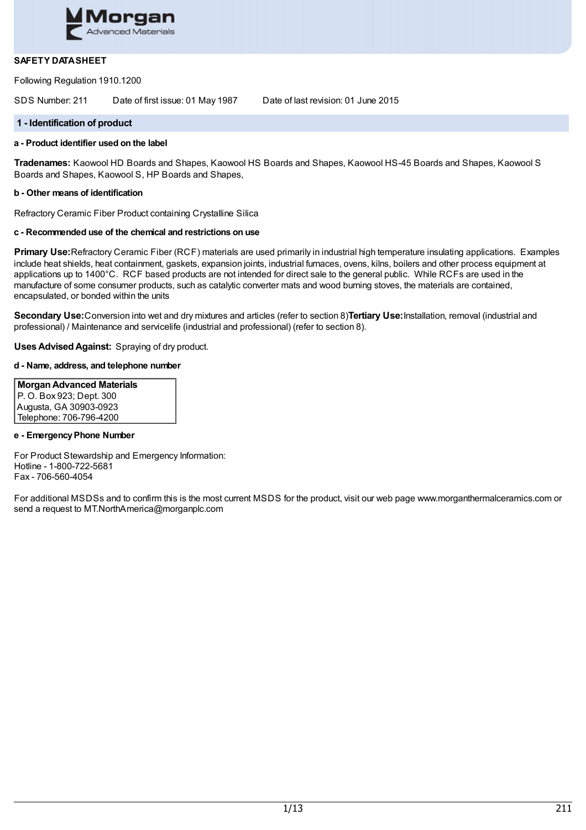

## **SAFETY DATASHEET**

Following Regulation 1910.1200

SDS Number: 211 Date of first issue: 01 May 1987 Date of last revision: 01 June 2015

## **1 - Identification of product**

## **a - Product identifier used on the label**

**Tradenames:** Kaowool HD Boards and Shapes, Kaowool HS Boards and Shapes, Kaowool HS-45 Boards and Shapes, Kaowool S Boards and Shapes, Kaowool S, HP Boards and Shapes,

### **b - Other means of identification**

Refractory Ceramic Fiber Product containing Crystalline Silica

## **c - Recommended use of the chemical and restrictions on use**

**Primary Use:**Refractory Ceramic Fiber (RCF) materials are used primarily in industrial high temperature insulating applications. Examples include heat shields, heat containment, gaskets, expansion joints, industrial furnaces, ovens, kilns, boilers and other process equipment at applications up to 1400°C. RCF based products are not intended for direct sale to the general public. While RCFs are used in the manufacture of some consumer products, such as catalytic converter mats and wood burning stoves, the materials are contained, encapsulated, or bonded within the units

**Secondary Use:**Conversion into wet and dry mixtures and articles (refer to section 8)**Tertiary Use:**Installation, removal (industrial and professional) / Maintenance and servicelife (industrial and professional) (refer to section 8).

**UsesAdvisedAgainst:** Spraying of dry product.

## **d - Name, address, and telephone number**

**MorganAdvanced Materials** P. O. Box 923; Dept. 300 Augusta, GA 30903-0923 Telephone: 706-796-4200

### **e - EmergencyPhone Number**

For Product Stewardship and Emergency Information: Hotline - 1-800-722-5681 Fax - 706-560-4054

For additional MSDSs and to confirm this is the most current MSDS for the product, visit our web page www.morganthermalceramics.com or send a request to MT.NorthAmerica@morganplc.com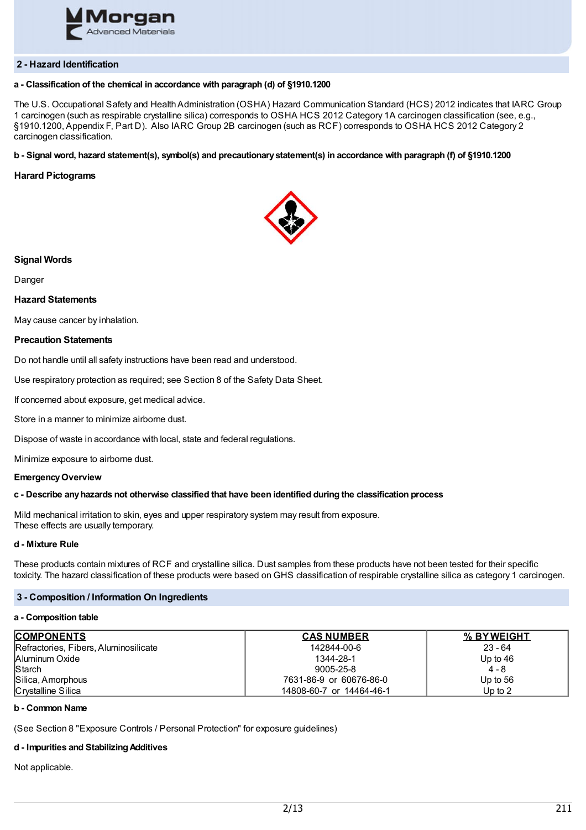

### **2 - Hazard Identification**

## **a - Classification of the chemical in accordance with paragraph (d) of §1910.1200**

The U.S. Occupational Safety and HealthAdministration (OSHA) Hazard Communication Standard (HCS) 2012 indicates that IARC Group 1 carcinogen (such as respirable crystalline silica) corresponds to OSHA HCS 2012 Category 1A carcinogen classification (see, e.g., §1910.1200, Appendix F, Part D). Also IARC Group 2B carcinogen (such as RCF) corresponds to OSHA HCS 2012 Category 2 carcinogen classification.

### b - Signal word, hazard statement(s), symbol(s) and precautionary statement(s) in accordance with paragraph (f) of §1910.1200

### **Harard Pictograms**



### **Signal Words**

Danger

### **Hazard Statements**

May cause cancer by inhalation.

### **Precaution Statements**

Do not handle until all safety instructions have been read and understood.

Use respiratory protection as required; see Section 8 of the Safety Data Sheet.

If concerned about exposure, get medical advice.

Store in a manner to minimize airborne dust.

Dispose of waste in accordance with local, state and federal regulations.

Minimize exposure to airborne dust.

### **EmergencyOverview**

#### **c - Describe anyhazards not otherwise classified that have been identified during the classification process**

Mild mechanical irritation to skin, eyes and upper respiratory system may result from exposure. These effects are usually temporary.

### **d - Mixture Rule**

These products contain mixtures of RCF and crystalline silica. Dust samples from these products have not been tested for their specific toxicity. The hazard classification of these products were based on GHS classification of respirable crystalline silica as category 1 carcinogen.

## **3 - Composition / Information On Ingredients**

#### **a - Composition table**

| <b>COMPONENTS</b>                     | <b>CAS NUMBER</b>        | % BYWEIGHT |
|---------------------------------------|--------------------------|------------|
| Refractories, Fibers, Aluminosilicate | 142844-00-6              | $23 - 64$  |
| Aluminum Oxide                        | 1344-28-1                | Up to $46$ |
| <b>Starch</b>                         | 9005-25-8                | $4 - 8$    |
| Silica, Amorphous                     | 7631-86-9 or 60676-86-0  | Up to $56$ |
| Crystalline Silica                    | 14808-60-7 or 14464-46-1 | Up to $2$  |

## **b - Common Name**

(See Section 8 "Exposure Controls / Personal Protection" for exposure guidelines)

### **d - Impurities and StabilizingAdditives**

Not applicable.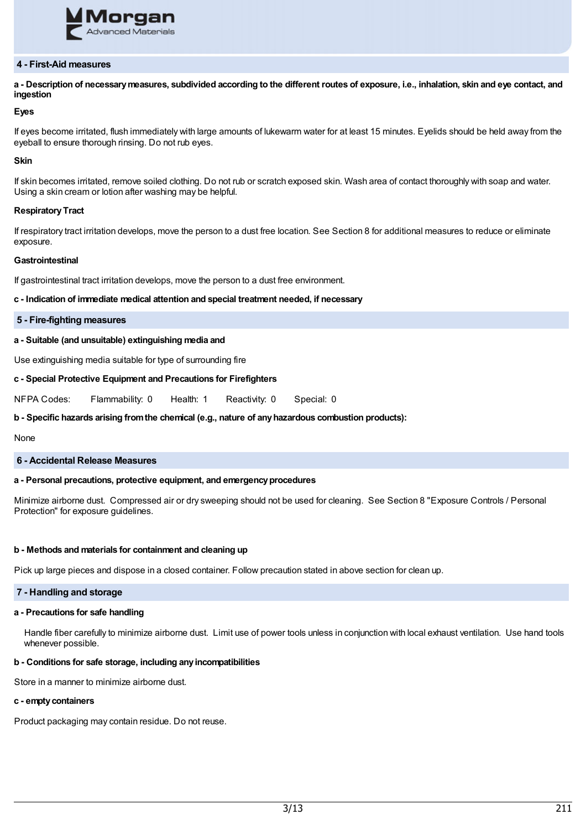

### **4 - First-Aid measures**

a - Description of necessary measures, subdivided according to the different routes of exposure, i.e., inhalation, skin and eve contact, and **ingestion**

## **Eyes**

If eyes become irritated, flush immediately with large amounts of lukewarm water for at least 15 minutes. Eyelids should be held away from the eyeball to ensure thorough rinsing. Do not rub eyes.

### **Skin**

If skin becomes irritated, remove soiled clothing. Do not rub or scratch exposed skin. Wash area of contact thoroughly with soap and water. Using a skin cream or lotion after washing may be helpful.

### **RespiratoryTract**

If respiratory tract irritation develops, move the person to a dust free location. See Section 8 for additional measures to reduce or eliminate exposure.

### **Gastrointestinal**

If gastrointestinal tract irritation develops, move the person to a dust free environment.

**c - Indication of immediate medical attention and special treatment needed, if necessary**

**5 - Fire-fighting measures**

**a - Suitable (and unsuitable) extinguishing media and**

Use extinguishing media suitable for type of surrounding fire

### **c - Special Protective Equipment and Precautions for Firefighters**

NFPA Codes: Flammability: 0 Health: 1 Reactivity: 0 Special: 0

### **b - Specific hazards arising fromthe chemical (e.g., nature of anyhazardous combustion products):**

None

### **6 - Accidental Release Measures**

## **a - Personal precautions, protective equipment, and emergencyprocedures**

Minimize airborne dust. Compressed air or dry sweeping should not be used for cleaning. See Section 8 "Exposure Controls / Personal Protection" for exposure guidelines.

### **b - Methods and materials for containment and cleaning up**

Pick up large pieces and dispose in a closed container. Follow precaution stated in above section for clean up.

### **7 - Handling and storage**

### **a - Precautions for safe handling**

Handle fiber carefully to minimize airborne dust. Limit use of power tools unless in conjunction with local exhaust ventilation. Use hand tools whenever possible.

## **b - Conditions for safe storage, including anyincompatibilities**

Store in a manner to minimize airborne dust.

#### **c - emptycontainers**

Product packaging may contain residue. Do not reuse.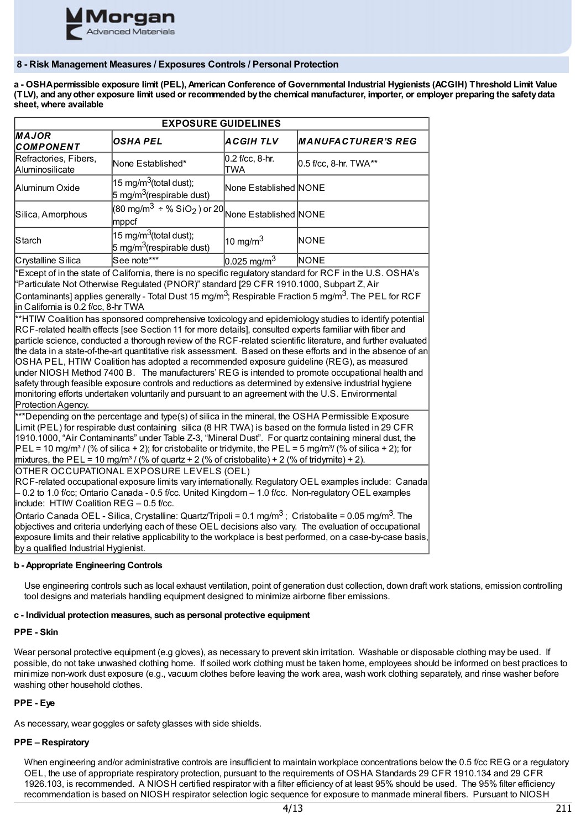

## **8 - Risk Management Measures / Exposures Controls / Personal Protection**

a - OSHA permissible exposure limit (PEL), American Conference of Governmental Industrial Hygienists (ACGIH) Threshold Limit Value (TLV), and any other exposure limit used or recommended by the chemical manufacturer, importer, or employer preparing the safety data **sheet, where available**

| <b>EXPOSURE GUIDELINES</b>                                                                                                                                                                                                                                                                                                                                                                                                                                                                                                                                                                                                                                                                                                                                                                                                                                                               |                                                                                                                              |                        |                           |  |
|------------------------------------------------------------------------------------------------------------------------------------------------------------------------------------------------------------------------------------------------------------------------------------------------------------------------------------------------------------------------------------------------------------------------------------------------------------------------------------------------------------------------------------------------------------------------------------------------------------------------------------------------------------------------------------------------------------------------------------------------------------------------------------------------------------------------------------------------------------------------------------------|------------------------------------------------------------------------------------------------------------------------------|------------------------|---------------------------|--|
| MAJOR<br>COMPONENT                                                                                                                                                                                                                                                                                                                                                                                                                                                                                                                                                                                                                                                                                                                                                                                                                                                                       | <b>OSHA PEL</b>                                                                                                              | <b>ACGIH TLV</b>       | <b>MANUFACTURER'S REG</b> |  |
| Refractories, Fibers,<br>Aluminosilicate                                                                                                                                                                                                                                                                                                                                                                                                                                                                                                                                                                                                                                                                                                                                                                                                                                                 | None Established*                                                                                                            | 0.2 f/cc, 8-hr.<br>TWA | 0.5 f/cc, 8-hr. TWA**     |  |
| Aluminum Oxide                                                                                                                                                                                                                                                                                                                                                                                                                                                                                                                                                                                                                                                                                                                                                                                                                                                                           | 15 mg/m <sup>3</sup> (total dust);<br>5 mg/m <sup>3</sup> (respirable dust)                                                  | None Established NONE  |                           |  |
| Silica, Amorphous                                                                                                                                                                                                                                                                                                                                                                                                                                                                                                                                                                                                                                                                                                                                                                                                                                                                        | $\frac{1000 \text{ m}\cdot\text{s}}{200 \text{ m}\cdot\text{s}^3 + \% \text{SiO}_2}$ or 20<br>None Established NONE<br>mppcf |                        |                           |  |
| Starch                                                                                                                                                                                                                                                                                                                                                                                                                                                                                                                                                                                                                                                                                                                                                                                                                                                                                   | 15 mg/m <sup>3</sup> (total dust);<br>5 mg/m <sup>3</sup> (respirable dust)                                                  | 10 mg/m $3$            | NONE                      |  |
| Crystalline Silica                                                                                                                                                                                                                                                                                                                                                                                                                                                                                                                                                                                                                                                                                                                                                                                                                                                                       | See note***                                                                                                                  | $0.025$ mg/m $^3$      | NONE                      |  |
| *Except of in the state of California, there is no specific regulatory standard for RCF in the U.S. OSHA's<br>"Particulate Not Otherwise Regulated (PNOR)" standard [29 CFR 1910.1000, Subpart Z, Air                                                                                                                                                                                                                                                                                                                                                                                                                                                                                                                                                                                                                                                                                    |                                                                                                                              |                        |                           |  |
| Contaminants] applies generally - Total Dust 15 mg/m <sup>3</sup> ; Respirable Fraction 5 mg/m <sup>3</sup> . The PEL for RCF<br>in California is 0.2 f/cc, 8-hr TWA                                                                                                                                                                                                                                                                                                                                                                                                                                                                                                                                                                                                                                                                                                                     |                                                                                                                              |                        |                           |  |
| **HTIW Coalition has sponsored comprehensive toxicology and epidemiology studies to identify potential<br>RCF-related health effects [see Section 11 for more details], consulted experts familiar with fiber and<br>particle science, conducted a thorough review of the RCF-related scientific literature, and further evaluated<br>the data in a state-of-the-art quantitative risk assessment. Based on these efforts and in the absence of an<br>OSHA PEL, HTIW Coalition has adopted a recommended exposure guideline (REG), as measured<br>under NIOSH Method 7400 B. The manufacturers' REG is intended to promote occupational health and<br>safety through feasible exposure controls and reductions as determined by extensive industrial hygiene<br>monitoring efforts undertaken voluntarily and pursuant to an agreement with the U.S. Environmental<br>Protection Agency. |                                                                                                                              |                        |                           |  |
| ***Depending on the percentage and type(s) of silica in the mineral, the OSHA Permissible Exposure<br>Limit (PEL) for respirable dust containing silica (8 HR TWA) is based on the formula listed in 29 CFR<br>1910.1000, "Air Contaminants" under Table Z-3, "Mineral Dust". For quartz containing mineral dust, the<br>$PEL = 10$ mg/m <sup>3</sup> / (% of silica + 2); for cristobalite or tridymite, the PEL = 5 mg/m <sup>3</sup> / (% of silica + 2); for<br>mixtures, the PEL = 10 mg/m <sup>3</sup> / (% of quartz + 2 (% of cristobalite) + 2 (% of tridymite) + 2).<br>OTHER OCCUPATIONAL EXPOSURE LEVELS (OEL)<br>RCF-related occupational exposure limits vary internationally. Regulatory OEL examples include: Canada<br>- 0.2 to 1.0 f/cc; Ontario Canada - 0.5 f/cc. United Kingdom - 1.0 f/cc. Non-regulatory OEL examples<br>include: HTIW Coalition REG - 0.5 f/cc.  |                                                                                                                              |                        |                           |  |
| Ontario Canada OEL - Silica, Crystalline: Quartz/Tripoli = 0.1 mg/m <sup>3</sup> ; Cristobalite = 0.05 mg/m <sup>3</sup> . The<br>objectives and criteria underlying each of these OEL decisions also vary. The evaluation of occupational<br>exposure limits and their relative applicability to the workplace is best performed, on a case-by-case basis,<br>by a qualified Industrial Hygienist.                                                                                                                                                                                                                                                                                                                                                                                                                                                                                      |                                                                                                                              |                        |                           |  |

## **b - Appropriate Engineering Controls**

Use engineering controls such as local exhaust ventilation, point of generation dust collection, down draft work stations, emission controlling tool designs and materials handling equipment designed to minimize airborne fiber emissions.

### **c - Individual protection measures, such as personal protective equipment**

### **PPE - Skin**

Wear personal protective equipment (e.g gloves), as necessary to prevent skin irritation. Washable or disposable clothing may be used. If possible, do not take unwashed clothing home. If soiled work clothing must be taken home, employees should be informed on best practices to minimize non-work dust exposure (e.g., vacuum clothes before leaving the work area, wash work clothing separately, and rinse washer before washing other household clothes.

## **PPE - Eye**

As necessary, wear goggles or safety glasses with side shields.

## **PPE – Respiratory**

When engineering and/or administrative controls are insufficient to maintain workplace concentrations below the 0.5 f/cc REG or a regulatory OEL, the use of appropriate respiratory protection, pursuant to the requirements of OSHA Standards 29 CFR 1910.134 and 29 CFR 1926.103, is recommended. A NIOSH certified respirator with a filter efficiency of at least 95% should be used. The 95% filter efficiency recommendation is based on NIOSH respirator selection logic sequence for exposure to manmade mineral fibers. Pursuant to NIOSH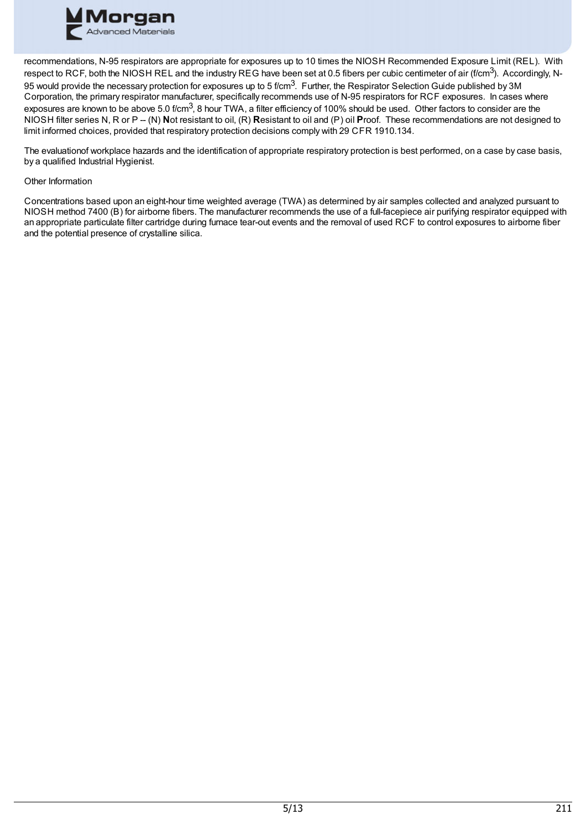

recommendations, N-95 respirators are appropriate for exposures up to 10 times the NIOSH Recommended Exposure Limit (REL). With respect to RCF, both the NIOSH REL and the industry REG have been set at 0.5 fibers per cubic centimeter of air (f/cm<sup>3</sup>). Accordingly, N-95 would provide the necessary protection for exposures up to 5 f/cm $^3$ . Further, the Respirator Selection Guide published by 3M Corporation, the primary respirator manufacturer, specifically recommends use of N-95 respirators for RCF exposures. In cases where exposures are known to be above 5.0 f/cm<sup>3</sup>, 8 hour TWA, a filter efficiency of 100% should be used. Other factors to consider are the NIOSH filter series N, R or P -- (N) **N**ot resistant to oil, (R) **R**esistant to oil and (P) oil **P**roof. These recommendations are not designed to limit informed choices, provided that respiratory protection decisions comply with 29 CFR 1910.134.

The evaluationof workplace hazards and the identification of appropriate respiratory protection is best performed, on a case by case basis, by a qualified Industrial Hygienist.

## Other Information

Concentrations based upon an eight-hour time weighted average (TWA) as determined by air samples collected and analyzed pursuant to NIOSH method 7400 (B) for airborne fibers. The manufacturer recommends the use of a full-facepiece air purifying respirator equipped with an appropriate particulate filter cartridge during furnace tear-out events and the removal of used RCF to control exposures to airborne fiber and the potential presence of crystalline silica.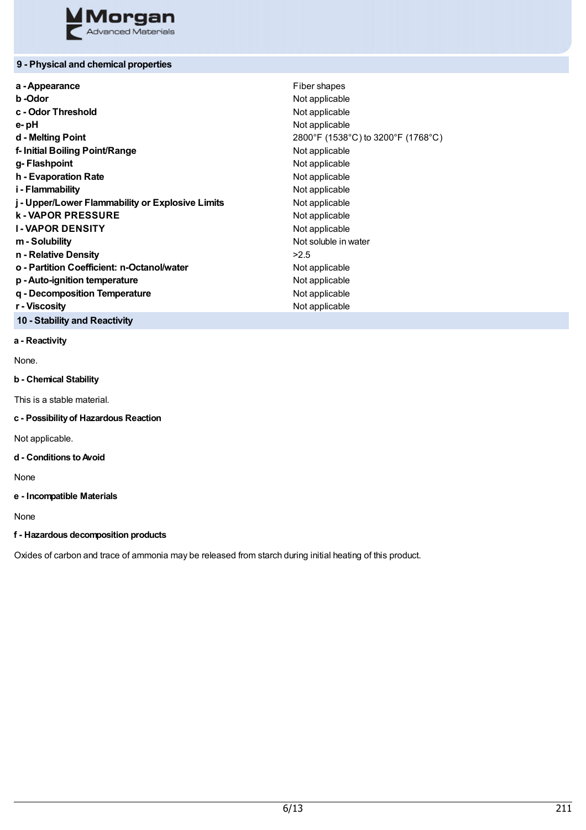

## **9 - Physical and chemical properties**

| a - Appearance                                   | Fiber shapes                       |
|--------------------------------------------------|------------------------------------|
| b-Odor                                           | Not applicable                     |
| c - Odor Threshold                               | Not applicable                     |
| e-pH                                             | Not applicable                     |
| d - Melting Point                                | 2800°F (1538°C) to 3200°F (1768°C) |
| f- Initial Boiling Point/Range                   | Not applicable                     |
| g-Flashpoint                                     | Not applicable                     |
| h - Evaporation Rate                             | Not applicable                     |
| i - Flammability                                 | Not applicable                     |
| j - Upper/Lower Flammability or Explosive Limits | Not applicable                     |
| <b>k-VAPOR PRESSURE</b>                          | Not applicable                     |
| <b>I-VAPOR DENSITY</b>                           | Not applicable                     |
| m - Solubility                                   | Not soluble in water               |
| n - Relative Density                             | >2.5                               |
| o - Partition Coefficient: n-Octanol/water       | Not applicable                     |
| p - Auto-ignition temperature                    | Not applicable                     |
| q - Decomposition Temperature                    | Not applicable                     |
| r - Viscosity                                    | Not applicable                     |
|                                                  |                                    |

**10 - Stability and Reactivity**

**a - Reactivity**

None.

## **b - Chemical Stability**

This is a stable material.

**c - Possibilityof Hazardous Reaction**

Not applicable.

## **d - Conditions toAvoid**

None

## **e - Incompatible Materials**

None

## **f - Hazardous decomposition products**

Oxides of carbon and trace of ammonia may be released from starch during initial heating of this product.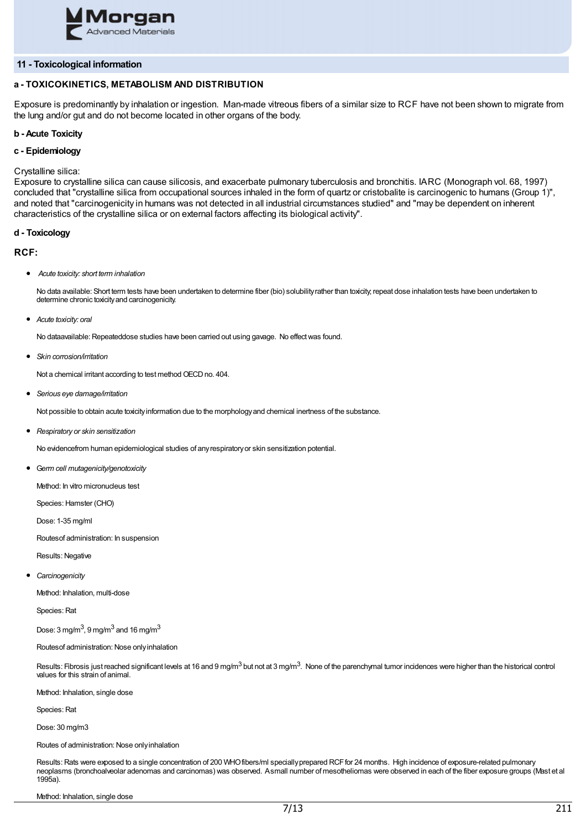

### **11 - Toxicological information**

## **a - TOXICOKINETICS, METABOLISM AND DISTRIBUTION**

Exposure is predominantly by inhalation or ingestion. Man-made vitreous fibers of a similar size to RCF have not been shown to migrate from the lung and/or gut and do not become located in other organs of the body.

### **b - Acute Toxicity**

### **c - Epidemiology**

### Crystalline silica:

Exposure to crystalline silica can cause silicosis, and exacerbate pulmonary tuberculosis and bronchitis. IARC (Monograph vol. 68, 1997) concluded that "crystalline silica from occupational sources inhaled in the form of quartz or cristobalite is carcinogenic to humans (Group 1)", and noted that "carcinogenicity in humans was not detected in all industrial circumstances studied" and "may be dependent on inherent characteristics of the crystalline silica or on external factors affecting its biological activity".

### **d - Toxicology**

### **RCF:**

*Acute toxicity: short term inhalation*

No data available: Short term tests have been undertaken to determine fiber (bio) solubility rather than toxicity, repeat dose inhalation tests have been undertaken to determine chronic toxicityand carcinogenicity.

*Acute toxicity: oral*

No dataavailable: Repeateddose studies have been carried out using gavage. No effectwas found.

*Skin corrosion/irritation*

Not a chemical irritant according to test method OECD no. 404.

*Serious eye damage/irritation*

Not possible to obtain acute toxicityinformation due to the morphologyand chemical inertness of the substance.

*Respiratory or skin sensitization*

No evidencefrom human epidemiological studies of anyrespiratoryor skin sensitization potential.

G*erm cell mutagenicity/genotoxicity*

Method: In vitro micronucleus test

Species: Hamster (CHO)

Dose: 1-35 mg/ml

Routesof administration: In suspension

Results: Negative

*Carcinogenicity*

Method: Inhalation, multi-dose

Species: Rat

Dose: 3 mg/m $^3$ , 9 mg/m $^3$  and 16 mg/m $^3$ 

Routesof administration: Nose onlyinhalation

Results: Fibrosis just reached significant levels at 16 and 9 mg/m $^3$  but not at 3 mg/m $^3$ . None of the parenchymal tumor incidences were higher than the historical control values for this strain of animal.

Method: Inhalation, single dose

Species: Rat

Dose: 30 mg/m3

Routes of administration: Nose onlyinhalation

Results: Rats were exposed to a single concentration of 200 WHO fibers/ml specially prepared RCF for 24 months. High incidence of exposure-related pulmonary neoplasms (bronchoalveolar adenomas and carcinomas) was observed. Asmall number of mesotheliomas were observed in each of the fiber exposure groups (Mast et al 1995a).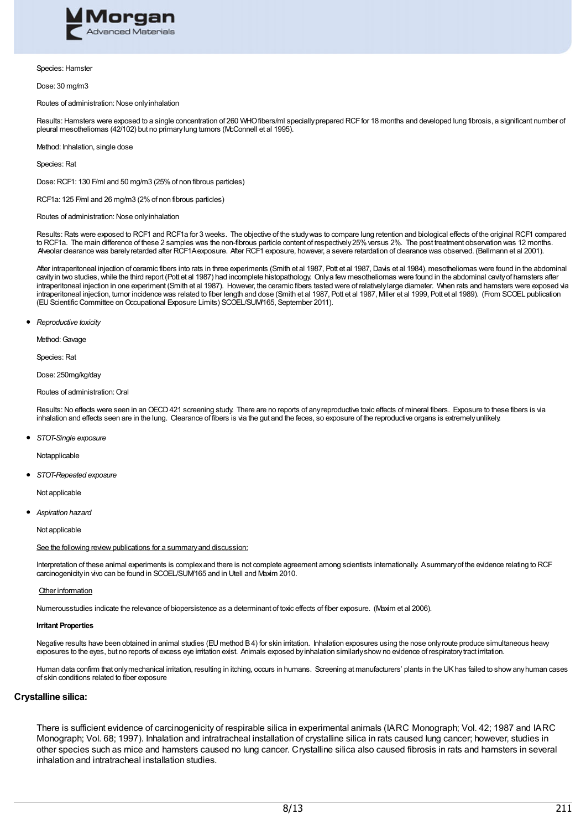

#### Species: Hamster

Dose: 30 mg/m3

#### Routes of administration: Nose onlyinhalation

Results: Hamsters were exposed to a single concentration of 260 WHO fibers/ml specially prepared RCF for 18 months and developed lung fibrosis, a significant number of pleural mesotheliomas (42/102) but no primarylung tumors (McConnell et al 1995).

Method: Inhalation, single dose

Species: Rat

Dose: RCF1: 130 F/ml and 50 mg/m3 (25%of non fibrous particles)

RCF1a: 125 F/ml and 26 mg/m3 (2%of non fibrous particles)

Routes of administration: Nose onlyinhalation

Results: Rats were exposed to RCF1 and RCF1a for 3 weeks. The objective of the studywas to compare lung retention and biological effects of the original RCF1 compared to RCF1a. The main difference of these 2 samples was the non-fibrous particle content of respectively 25% versus 2%. The post treatment observation was 12 months. Alveolar clearance was barelyretarded after RCF1Aexposure. After RCF1 exposure, however, a severe retardation of clearance was observed. (Bellmann et al 2001).

After intraperitoneal injection of ceramic fibers into rats in three experiments (Smith et al 1987, Pott et al 1987, Davis et al 1984), mesotheliomas were found in the abdominal cavity in two studies, while the third report (Pott et al 1987) had incomplete histopathology. Only a few mesotheliomas were found in the abdominal cavity of hamsters after intraperitoneal injection in one experiment (Smith et al 1987). However, the ceramic fibers tested were of relatively large diameter. When rats and hamsters were exposed via intraperitoneal injection, tumor incidence was related to fiber length and dose (Smith et al 1987, Pott et al 1987, Miller et al 1999, Pott et al 1989). (From SCOEL publication (EU Scientific Committee on Occupational Exposure Limits) SCOEL/SUM/165, September 2011).

*Reproductive toxicity*

Method: Gavage

Species: Rat

Dose: 250mg/kg/day

Routes of administration: Oral

Results: No effects were seen in an OECD 421 screening study. There are no reports of any reproductive toxic effects of mineral fibers. Exposure to these fibers is via inhalation and effects seen are in the lung. Clearance of fibers is via the gut and the feces, so exposure of the reproductive organs is extremely unlikely.

*STOT-Single exposure*

Notapplicable

*STOT-Repeated exposure*

Not applicable

*Aspiration hazard*

Not applicable

See the following review publications for a summary and discussion:

Interpretation of these animal experiments is complexand there is not complete agreement among scientists internationally. Asummaryof the evidence relating to RCF carcinogenicityin vivo can be found in SCOEL/SUM/165 and in Utell and Maxim 2010.

Other information

Numerousstudies indicate the relevance of biopersistence as a determinant of toxic effects of fiber exposure. (Maxim et al 2006).

#### **Irritant Properties**

Negative results have been obtained in animal studies (EU method B4) for skin irritation. Inhalation exposures using the nose only route produce simultaneous heavy exposures to the eyes, but no reports of excess eye irritation exist. Animals exposed by inhalation similarly show no evidence of respiratory tract irritation.

Human data confirm that onlymechanical irritation, resulting in itching, occurs in humans. Screening at manufacturers' plants in the UKhas failed to showanyhuman cases of skin conditions related to fiber exposure

### **Crystalline silica:**

There is sufficient evidence of carcinogenicity of respirable silica in experimental animals (IARC Monograph; Vol. 42; 1987 and IARC Monograph; Vol. 68; 1997). Inhalation and intratracheal installation of crystalline silica in rats caused lung cancer; however, studies in other species such as mice and hamsters caused no lung cancer. Crystalline silica also caused fibrosis in rats and hamsters in several inhalation and intratracheal installation studies.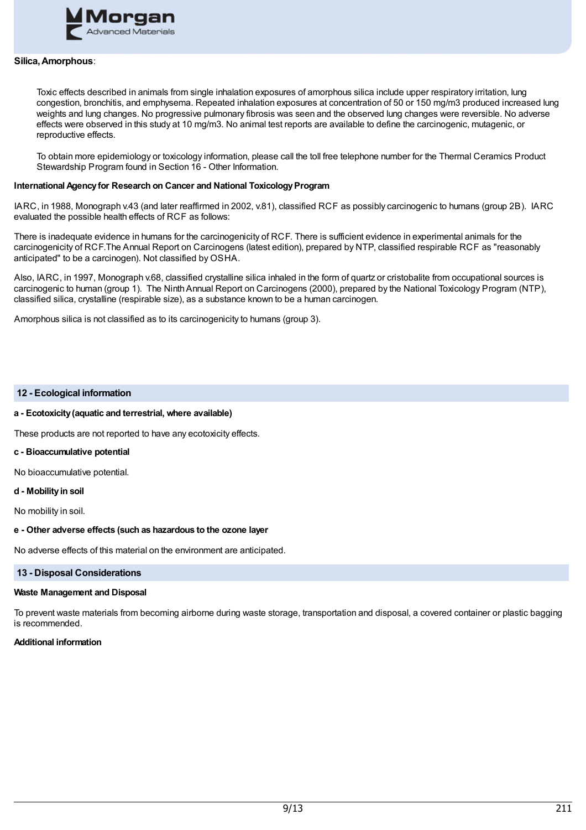

### **Silica,Amorphous**:

Toxic effects described in animals from single inhalation exposures of amorphous silica include upper respiratory irritation, lung congestion, bronchitis, and emphysema. Repeated inhalation exposures at concentration of 50 or 150 mg/m3 produced increased lung weights and lung changes. No progressive pulmonary fibrosis was seen and the observed lung changes were reversible. No adverse effects were observed in this study at 10 mg/m3. No animal test reports are available to define the carcinogenic, mutagenic, or reproductive effects.

To obtain more epidemiology or toxicology information, please call the toll free telephone number for the Thermal Ceramics Product Stewardship Program found in Section 16 - Other Information.

### **International Agency for Research on Cancer and National Toxicology Program**

IARC, in 1988, Monograph v.43 (and later reaffirmed in 2002, v.81), classified RCF as possibly carcinogenic to humans (group 2B). IARC evaluated the possible health effects of RCF as follows:

There is inadequate evidence in humans for the carcinogenicity of RCF. There is sufficient evidence in experimental animals for the carcinogenicity of RCF.The Annual Report on Carcinogens (latest edition), prepared by NTP, classified respirable RCF as "reasonably anticipated" to be a carcinogen). Not classified by OSHA.

Also, IARC, in 1997, Monograph v.68, classified crystalline silica inhaled in the form of quartz or cristobalite from occupational sources is carcinogenic to human (group 1). The Ninth Annual Report on Carcinogens (2000), prepared by the National Toxicology Program (NTP), classified silica, crystalline (respirable size), as a substance known to be a human carcinogen.

Amorphous silica is not classified as to its carcinogenicity to humans (group 3).

### **12 - Ecological information**

### **a - Ecotoxicity(aquatic and terrestrial, where available)**

These products are not reported to have any ecotoxicity effects.

#### **c - Bioaccumulative potential**

No bioaccumulative potential.

#### **d - Mobilityin soil**

No mobility in soil.

### **e - Other adverse effects (such as hazardous to the ozone layer**

No adverse effects of this material on the environment are anticipated.

### **13 - Disposal Considerations**

#### **Waste Management and Disposal**

To prevent waste materials from becoming airborne during waste storage, transportation and disposal, a covered container or plastic bagging is recommended.

## **Additional information**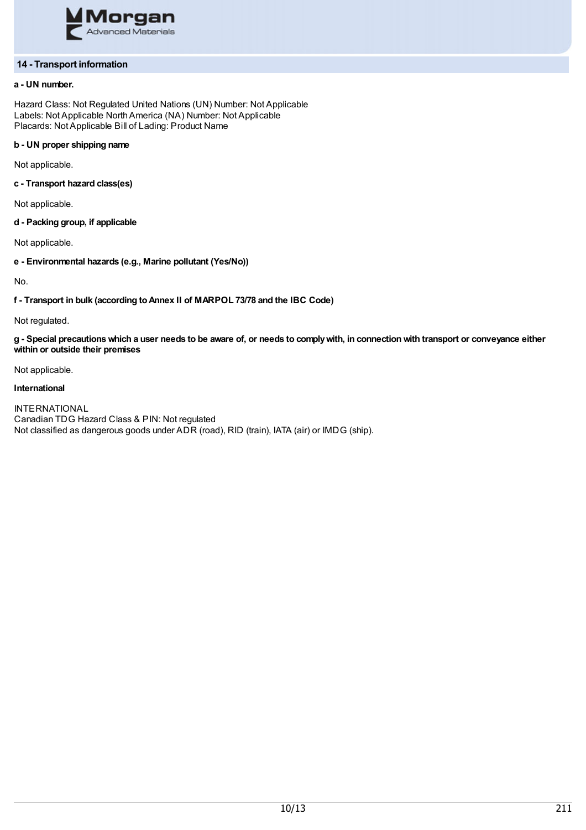

## **14 - Transport information**

## **a - UN number.**

Hazard Class: Not Regulated United Nations (UN) Number: Not Applicable Labels: Not Applicable NorthAmerica (NA) Number: Not Applicable Placards: Not Applicable Bill of Lading: Product Name

## **b - UN proper shipping name**

Not applicable.

**c - Transport hazard class(es)**

Not applicable.

**d - Packing group, if applicable**

Not applicable.

**e - Environmental hazards (e.g., Marine pollutant (Yes/No))**

No.

**f - Transport in bulk (according toAnnex II of MARPOL 73/78 and the IBC Code)**

Not regulated.

g - Special precautions which a user needs to be aware of, or needs to comply with, in connection with transport or conveyance either **within or outside their premises**

Not applicable.

## **International**

INTERNATIONAL Canadian TDG Hazard Class & PIN: Not regulated Not classified as dangerous goods under ADR (road), RID (train), IATA (air) or IMDG (ship).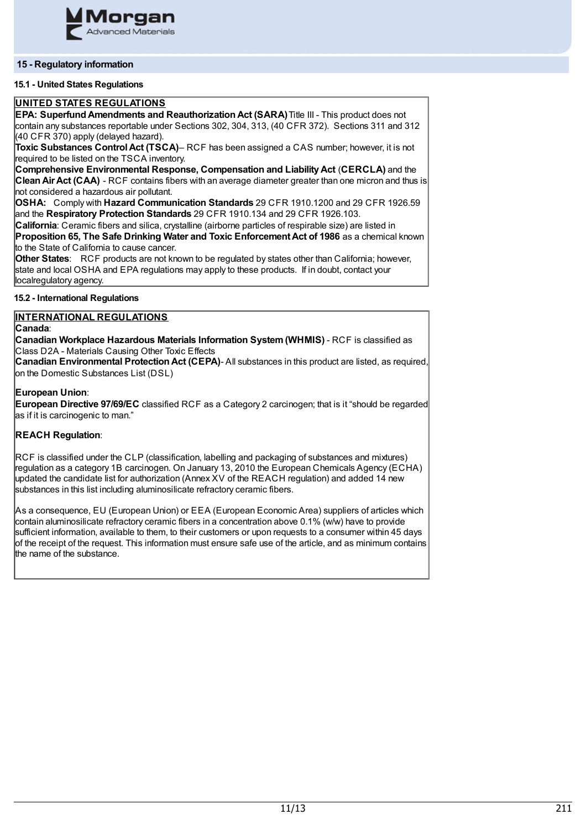

## **15 - Regulatory information**

## **15.1 - United States Regulations**

## **UNITED STATES REGULATIONS**

**EPA: SuperfundAmendments and ReauthorizationAct (SARA)**Title III - This product does not contain any substances reportable under Sections 302, 304, 313, (40 CFR 372). Sections 311 and 312  $(40$  CFR 370) apply (delayed hazard).

**Toxic Substances ControlAct (TSCA)**– RCF has been assigned a CAS number; however, it is not required to be listed on the TSCA inventory.

**Comprehensive Environmental Response, Compensation and LiabilityAct** (**CERCLA)** and the **CleanAirAct (CAA)** - RCF contains fibers with an average diameter greater than one micron and thus is not considered a hazardous air pollutant.

**OSHA:** Comply with **Hazard Communication Standards** 29 CFR 1910.1200 and 29 CFR 1926.59 and the **Respiratory Protection Standards** 29 CFR 1910.134 and 29 CFR 1926.103.

**California**: Ceramic fibers and silica, crystalline (airborne particles of respirable size) are listed in **Proposition 65, The Safe Drinking Water and Toxic EnforcementAct of 1986** as a chemical known to the State of California to cause cancer.

**Other States**: RCF products are not known to be regulated by states other than California; however, state and local OSHA and EPA regulations may apply to these products. If in doubt, contact your localregulatory agency.

## **15.2 - International Regulations**

## **INTERNATIONAL REGULATIONS**

**Canada**:

**Canadian Workplace Hazardous Materials Information System(WHMIS)** - RCF is classified as Class D2A - Materials Causing Other Toxic Effects

**Canadian Environmental Protection Act (CEPA)- All substances in this product are listed, as required,** on the Domestic Substances List (DSL)

## **European Union**:

**European Directive 97/69/EC** classified RCF as a Category 2 carcinogen; that is it "should be regarded as if it is carcinogenic to man."

## **REACH Regulation**:

RCF is classified under the CLP (classification, labelling and packaging of substances and mixtures) regulation as a category 1B carcinogen. On January 13, 2010 the European Chemicals Agency (ECHA) updated the candidate list for authorization (Annex XV of the REACH regulation) and added 14 new substances in this list including aluminosilicate refractory ceramic fibers.

As a consequence, EU (European Union) or EEA (European Economic Area) suppliers of articles which contain aluminosilicate refractory ceramic fibers in a concentration above 0.1% (w/w) have to provide sufficient information, available to them, to their customers or upon requests to a consumer within 45 days of the receipt of the request. This information must ensure safe use of the article, and as minimum contains the name of the substance.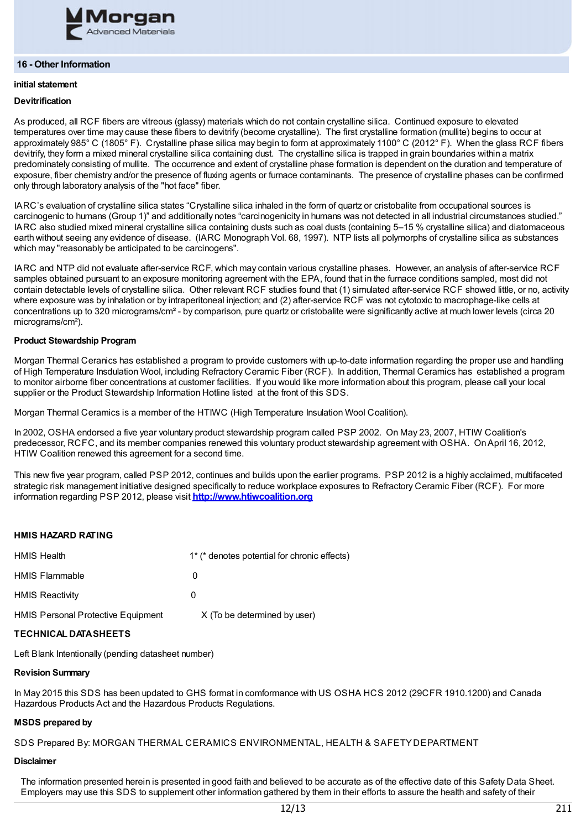

### **16 - Other Information**

# **initial statement**

## **Devitrification**

As produced, all RCF fibers are vitreous (glassy) materials which do not contain crystalline silica. Continued exposure to elevated temperatures over time may cause these fibers to devitrify (become crystalline). The first crystalline formation (mullite) begins to occur at approximately 985° C (1805° F). Crystalline phase silica may begin to form at approximately 1100° C (2012° F). When the glass RCF fibers devitrify, they form a mixed mineral crystalline silica containing dust. The crystalline silica is trapped in grain boundaries within a matrix predominately consisting of mullite. The occurrence and extent of crystalline phase formation is dependent on the duration and temperature of exposure, fiber chemistry and/or the presence of fluxing agents or furnace contaminants. The presence of crystalline phases can be confirmed only through laboratory analysis of the "hot face" fiber.

IARC's evaluation of crystalline silica states "Crystalline silica inhaled in the form of quartz or cristobalite from occupational sources is carcinogenic to humans (Group 1)" and additionally notes "carcinogenicity in humans was not detected in all industrial circumstances studied." IARC also studied mixed mineral crystalline silica containing dusts such as coal dusts (containing 5–15 % crystalline silica) and diatomaceous earth without seeing any evidence of disease. (IARC Monograph Vol. 68, 1997). NTP lists all polymorphs of crystalline silica as substances which may "reasonably be anticipated to be carcinogens".

IARC and NTP did not evaluate after-service RCF, which may contain various crystalline phases. However, an analysis of after-service RCF samples obtained pursuant to an exposure monitoring agreement with the EPA, found that in the furnace conditions sampled, most did not contain detectable levels of crystalline silica. Other relevant RCF studies found that (1) simulated after-service RCF showed little, or no, activity where exposure was by inhalation or by intraperitoneal injection; and (2) after-service RCF was not cytotoxic to macrophage-like cells at concentrations up to 320 micrograms/cm² - by comparison, pure quartz or cristobalite were significantly active at much lower levels (circa 20 micrograms/cm²).

## **Product Stewardship Program**

Morgan Thermal Ceranics has established a program to provide customers with up-to-date information regarding the proper use and handling of High Temperature Insdulation Wool, including Refractory Ceramic Fiber (RCF). In addition, Thermal Ceramics has established a program to monitor airborne fiber concentrations at customer facilities. If you would like more information about this program, please call your local supplier or the Product Stewardship Information Hotline listed at the front of this SDS.

Morgan Thermal Ceramics is a member of the HTIWC (High Temperature Insulation Wool Coalition).

In 2002, OSHA endorsed a five year voluntary product stewardship program called PSP 2002. On May 23, 2007, HTIW Coalition's predecessor, RCFC, and its member companies renewed this voluntary product stewardship agreement with OSHA. OnApril 16, 2012, HTIW Coalition renewed this agreement for a second time.

This new five year program, called PSP 2012, continues and builds upon the earlier programs. PSP 2012 is a highly acclaimed, multifaceted strategic risk management initiative designed specifically to reduce workplace exposures to Refractory Ceramic Fiber (RCF). For more information regarding PSP 2012, please visit **[http://www.htiwcoalition.org](http://www.htiwcoalition.org/)**

## **HMIS HAZARD RATING**

| <b>HMIS Health</b>                        | 1 <sup>*</sup> (* denotes potential for chronic effects) |
|-------------------------------------------|----------------------------------------------------------|
| <b>HMIS Flammable</b>                     | O                                                        |
| <b>HMIS Reactivity</b>                    | 0                                                        |
| <b>HMIS Personal Protective Equipment</b> | X (To be determined by user)                             |

## **TECHNICAL DATASHEETS**

Left Blank Intentionally (pending datasheet number)

## **Revision Summary**

In May 2015 this SDS has been updated to GHS format in comformance with US OSHA HCS 2012 (29CFR 1910.1200) and Canada Hazardous Products Act and the Hazardous Products Regulations.

# **MSDS prepared by**

SDS Prepared By: MORGAN THERMAL CERAMICS ENVIRONMENTAL, HEALTH & SAFETYDEPARTMENT

## **Disclaimer**

The information presented herein is presented in good faith and believed to be accurate as of the effective date of this Safety Data Sheet. Employers may use this SDS to supplement other information gathered by them in their efforts to assure the health and safety of their